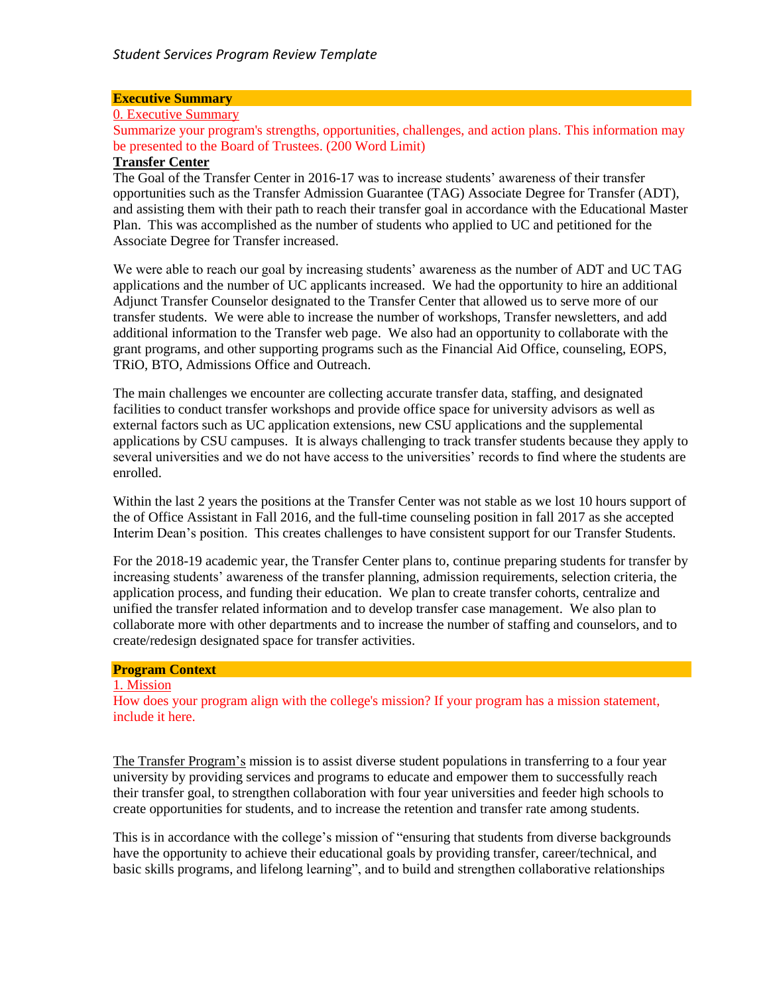### **Executive Summary**

#### 0. Executive Summary

Summarize your program's strengths, opportunities, challenges, and action plans. This information may be presented to the Board of Trustees. (200 Word Limit)

#### **Transfer Center**

The Goal of the Transfer Center in 2016-17 was to increase students' awareness of their transfer opportunities such as the Transfer Admission Guarantee (TAG) Associate Degree for Transfer (ADT), and assisting them with their path to reach their transfer goal in accordance with the Educational Master Plan. This was accomplished as the number of students who applied to UC and petitioned for the Associate Degree for Transfer increased.

We were able to reach our goal by increasing students' awareness as the number of ADT and UC TAG applications and the number of UC applicants increased. We had the opportunity to hire an additional Adjunct Transfer Counselor designated to the Transfer Center that allowed us to serve more of our transfer students. We were able to increase the number of workshops, Transfer newsletters, and add additional information to the Transfer web page. We also had an opportunity to collaborate with the grant programs, and other supporting programs such as the Financial Aid Office, counseling, EOPS, TRiO, BTO, Admissions Office and Outreach.

The main challenges we encounter are collecting accurate transfer data, staffing, and designated facilities to conduct transfer workshops and provide office space for university advisors as well as external factors such as UC application extensions, new CSU applications and the supplemental applications by CSU campuses. It is always challenging to track transfer students because they apply to several universities and we do not have access to the universities' records to find where the students are enrolled.

Within the last 2 years the positions at the Transfer Center was not stable as we lost 10 hours support of the of Office Assistant in Fall 2016, and the full-time counseling position in fall 2017 as she accepted Interim Dean's position. This creates challenges to have consistent support for our Transfer Students.

For the 2018-19 academic year, the Transfer Center plans to, continue preparing students for transfer by increasing students' awareness of the transfer planning, admission requirements, selection criteria, the application process, and funding their education. We plan to create transfer cohorts, centralize and unified the transfer related information and to develop transfer case management. We also plan to collaborate more with other departments and to increase the number of staffing and counselors, and to create/redesign designated space for transfer activities.

# **Program Context**

#### 1. Mission

How does your program align with the college's mission? If your program has a mission statement, include it here.

The Transfer Program's mission is to assist diverse student populations in transferring to a four year university by providing services and programs to educate and empower them to successfully reach their transfer goal, to strengthen collaboration with four year universities and feeder high schools to create opportunities for students, and to increase the retention and transfer rate among students.

This is in accordance with the college's mission of "ensuring that students from diverse backgrounds have the opportunity to achieve their educational goals by providing transfer, career/technical, and basic skills programs, and lifelong learning", and to build and strengthen collaborative relationships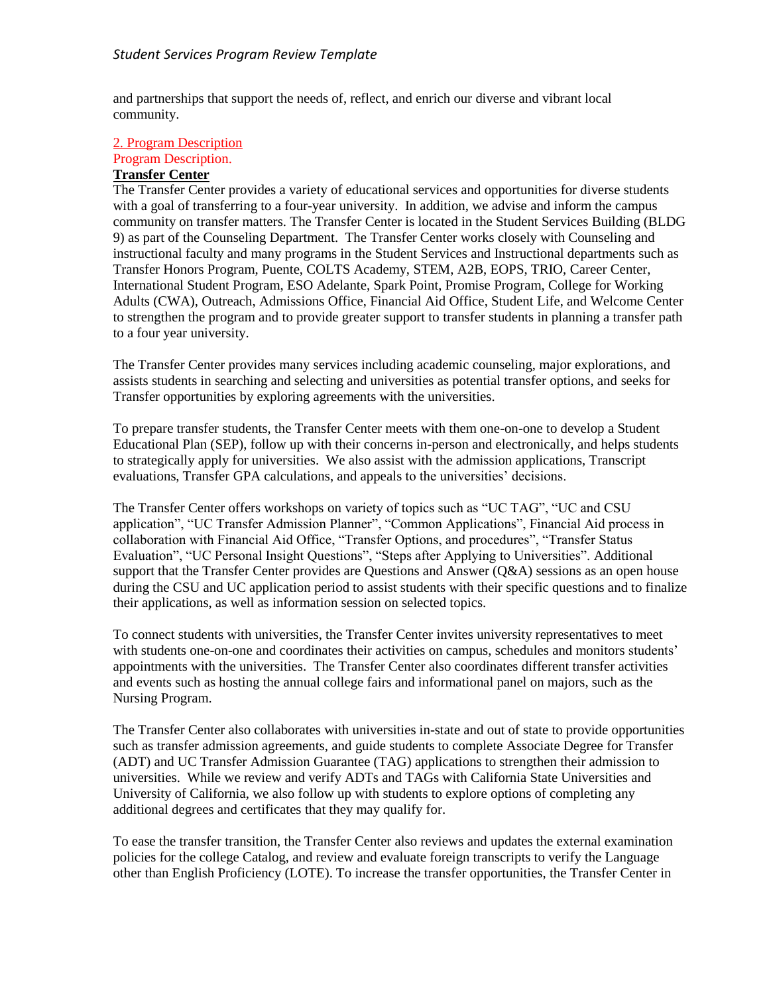and partnerships that support the needs of, reflect, and enrich our diverse and vibrant local community.

#### 2. Program Description Program Description.

# **Transfer Center**

The Transfer Center provides a variety of educational services and opportunities for diverse students with a goal of transferring to a four-year university. In addition, we advise and inform the campus community on transfer matters. The Transfer Center is located in the Student Services Building (BLDG 9) as part of the Counseling Department. The Transfer Center works closely with Counseling and instructional faculty and many programs in the Student Services and Instructional departments such as Transfer Honors Program, Puente, COLTS Academy, STEM, A2B, EOPS, TRIO, Career Center, International Student Program, ESO Adelante, Spark Point, Promise Program, College for Working Adults (CWA), Outreach, Admissions Office, Financial Aid Office, Student Life, and Welcome Center to strengthen the program and to provide greater support to transfer students in planning a transfer path to a four year university.

The Transfer Center provides many services including academic counseling, major explorations, and assists students in searching and selecting and universities as potential transfer options, and seeks for Transfer opportunities by exploring agreements with the universities.

To prepare transfer students, the Transfer Center meets with them one-on-one to develop a Student Educational Plan (SEP), follow up with their concerns in-person and electronically, and helps students to strategically apply for universities. We also assist with the admission applications, Transcript evaluations, Transfer GPA calculations, and appeals to the universities' decisions.

The Transfer Center offers workshops on variety of topics such as "UC TAG", "UC and CSU application", "UC Transfer Admission Planner", "Common Applications", Financial Aid process in collaboration with Financial Aid Office, "Transfer Options, and procedures", "Transfer Status Evaluation", "UC Personal Insight Questions", "Steps after Applying to Universities". Additional support that the Transfer Center provides are Questions and Answer (Q&A) sessions as an open house during the CSU and UC application period to assist students with their specific questions and to finalize their applications, as well as information session on selected topics.

To connect students with universities, the Transfer Center invites university representatives to meet with students one-on-one and coordinates their activities on campus, schedules and monitors students' appointments with the universities. The Transfer Center also coordinates different transfer activities and events such as hosting the annual college fairs and informational panel on majors, such as the Nursing Program.

The Transfer Center also collaborates with universities in-state and out of state to provide opportunities such as transfer admission agreements, and guide students to complete Associate Degree for Transfer (ADT) and UC Transfer Admission Guarantee (TAG) applications to strengthen their admission to universities. While we review and verify ADTs and TAGs with California State Universities and University of California, we also follow up with students to explore options of completing any additional degrees and certificates that they may qualify for.

To ease the transfer transition, the Transfer Center also reviews and updates the external examination policies for the college Catalog, and review and evaluate foreign transcripts to verify the Language other than English Proficiency (LOTE). To increase the transfer opportunities, the Transfer Center in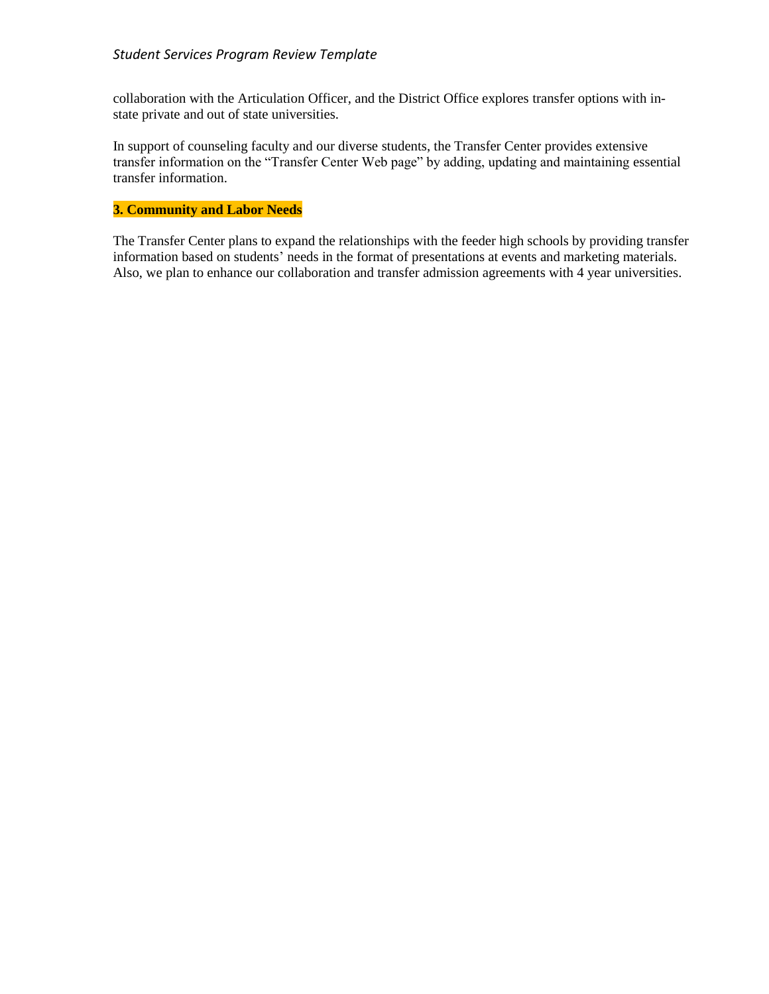collaboration with the Articulation Officer, and the District Office explores transfer options with instate private and out of state universities.

In support of counseling faculty and our diverse students, the Transfer Center provides extensive transfer information on the "Transfer Center Web page" by adding, updating and maintaining essential transfer information.

## **3. Community and Labor Needs**

The Transfer Center plans to expand the relationships with the feeder high schools by providing transfer information based on students' needs in the format of presentations at events and marketing materials. Also, we plan to enhance our collaboration and transfer admission agreements with 4 year universities.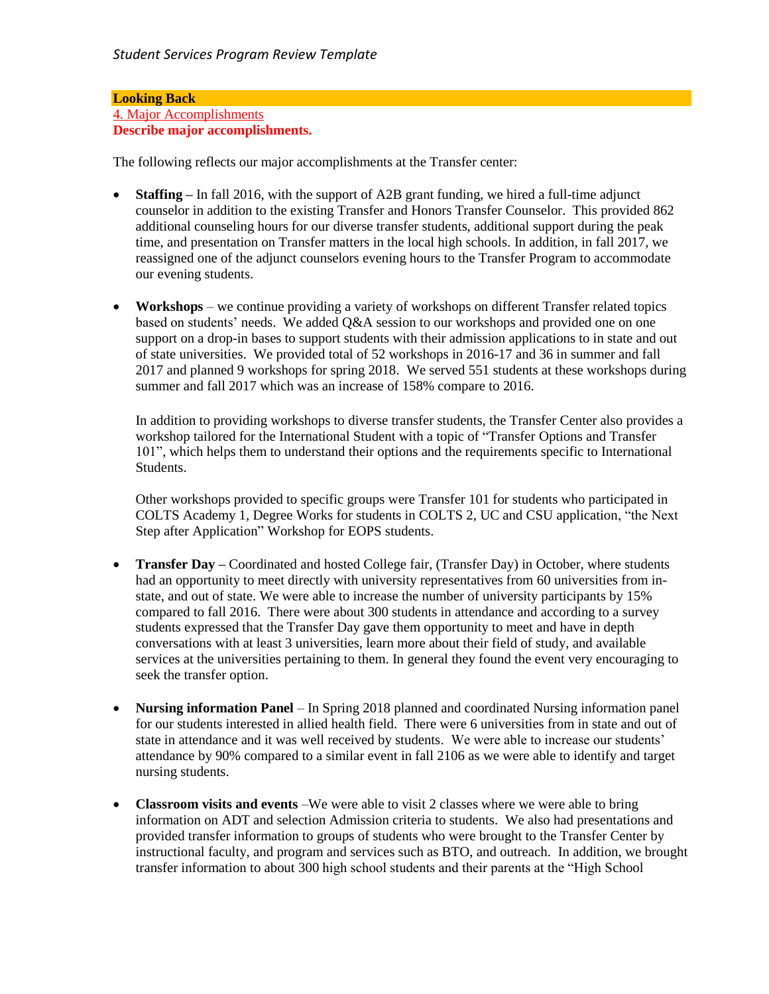#### **Looking Back** 4. Major Accomplishments **Describe major accomplishments.**

The following reflects our major accomplishments at the Transfer center:

- **Staffing** In fall 2016, with the support of A2B grant funding, we hired a full-time adjunct counselor in addition to the existing Transfer and Honors Transfer Counselor. This provided 862 additional counseling hours for our diverse transfer students, additional support during the peak time, and presentation on Transfer matters in the local high schools. In addition, in fall 2017, we reassigned one of the adjunct counselors evening hours to the Transfer Program to accommodate our evening students.
- **Workshops** we continue providing a variety of workshops on different Transfer related topics based on students' needs. We added Q&A session to our workshops and provided one on one support on a drop-in bases to support students with their admission applications to in state and out of state universities. We provided total of 52 workshops in 2016-17 and 36 in summer and fall 2017 and planned 9 workshops for spring 2018. We served 551 students at these workshops during summer and fall 2017 which was an increase of 158% compare to 2016.

In addition to providing workshops to diverse transfer students, the Transfer Center also provides a workshop tailored for the International Student with a topic of "Transfer Options and Transfer 101", which helps them to understand their options and the requirements specific to International Students.

Other workshops provided to specific groups were Transfer 101 for students who participated in COLTS Academy 1, Degree Works for students in COLTS 2, UC and CSU application, "the Next Step after Application" Workshop for EOPS students.

- **Transfer Day –** Coordinated and hosted College fair, (Transfer Day) in October, where students had an opportunity to meet directly with university representatives from 60 universities from instate, and out of state. We were able to increase the number of university participants by 15% compared to fall 2016. There were about 300 students in attendance and according to a survey students expressed that the Transfer Day gave them opportunity to meet and have in depth conversations with at least 3 universities, learn more about their field of study, and available services at the universities pertaining to them. In general they found the event very encouraging to seek the transfer option.
- **Nursing information Panel**  In Spring 2018 planned and coordinated Nursing information panel for our students interested in allied health field. There were 6 universities from in state and out of state in attendance and it was well received by students. We were able to increase our students' attendance by 90% compared to a similar event in fall 2106 as we were able to identify and target nursing students.
- **Classroom visits and events** –We were able to visit 2 classes where we were able to bring information on ADT and selection Admission criteria to students. We also had presentations and provided transfer information to groups of students who were brought to the Transfer Center by instructional faculty, and program and services such as BTO, and outreach. In addition, we brought transfer information to about 300 high school students and their parents at the "High School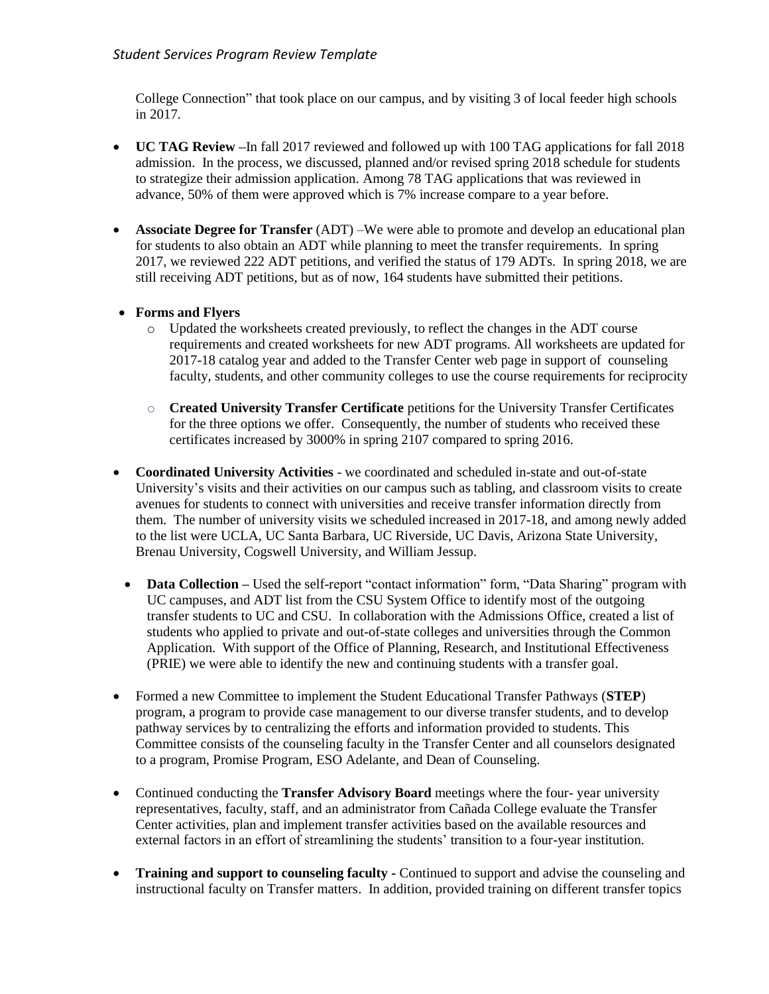College Connection" that took place on our campus, and by visiting 3 of local feeder high schools in 2017.

- **UC TAG Review –**In fall 2017 reviewed and followed up with 100 TAG applications for fall 2018 admission. In the process, we discussed, planned and/or revised spring 2018 schedule for students to strategize their admission application. Among 78 TAG applications that was reviewed in advance, 50% of them were approved which is 7% increase compare to a year before.
- **Associate Degree for Transfer** (ADT) –We were able to promote and develop an educational plan for students to also obtain an ADT while planning to meet the transfer requirements. In spring 2017, we reviewed 222 ADT petitions, and verified the status of 179 ADTs. In spring 2018, we are still receiving ADT petitions, but as of now, 164 students have submitted their petitions.

# **Forms and Flyers**

- o Updated the worksheets created previously, to reflect the changes in the ADT course requirements and created worksheets for new ADT programs. All worksheets are updated for 2017-18 catalog year and added to the Transfer Center web page in support of counseling faculty, students, and other community colleges to use the course requirements for reciprocity
- o **Created University Transfer Certificate** petitions for the University Transfer Certificates for the three options we offer. Consequently, the number of students who received these certificates increased by 3000% in spring 2107 compared to spring 2016.
- **Coordinated University Activities** we coordinated and scheduled in-state and out-of-state University's visits and their activities on our campus such as tabling, and classroom visits to create avenues for students to connect with universities and receive transfer information directly from them. The number of university visits we scheduled increased in 2017-18, and among newly added to the list were UCLA, UC Santa Barbara, UC Riverside, UC Davis, Arizona State University, Brenau University, Cogswell University, and William Jessup.
	- **Data Collection** Used the self-report "contact information" form, "Data Sharing" program with UC campuses, and ADT list from the CSU System Office to identify most of the outgoing transfer students to UC and CSU. In collaboration with the Admissions Office, created a list of students who applied to private and out-of-state colleges and universities through the Common Application. With support of the Office of Planning, Research, and Institutional Effectiveness (PRIE) we were able to identify the new and continuing students with a transfer goal.
- Formed a new Committee to implement the Student Educational Transfer Pathways (**STEP**) program, a program to provide case management to our diverse transfer students, and to develop pathway services by to centralizing the efforts and information provided to students. This Committee consists of the counseling faculty in the Transfer Center and all counselors designated to a program, Promise Program, ESO Adelante, and Dean of Counseling.
- Continued conducting the **Transfer Advisory Board** meetings where the four- year university representatives, faculty, staff, and an administrator from Cañada College evaluate the Transfer Center activities, plan and implement transfer activities based on the available resources and external factors in an effort of streamlining the students' transition to a four-year institution.
- **Training and support to counseling faculty -** Continued to support and advise the counseling and instructional faculty on Transfer matters. In addition, provided training on different transfer topics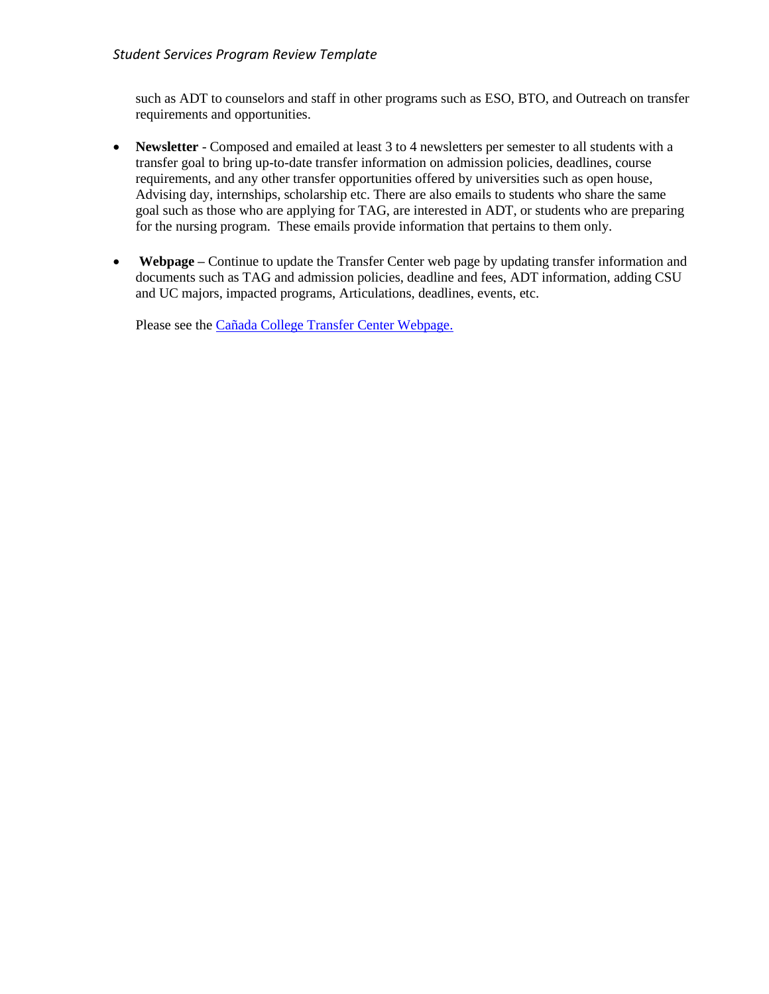such as ADT to counselors and staff in other programs such as ESO, BTO, and Outreach on transfer requirements and opportunities.

- **Newsletter** Composed and emailed at least 3 to 4 newsletters per semester to all students with a transfer goal to bring up-to-date transfer information on admission policies, deadlines, course requirements, and any other transfer opportunities offered by universities such as open house, Advising day, internships, scholarship etc. There are also emails to students who share the same goal such as those who are applying for TAG, are interested in ADT, or students who are preparing for the nursing program. These emails provide information that pertains to them only.
- **Webpage –** Continue to update the Transfer Center web page by updating transfer information and documents such as TAG and admission policies, deadline and fees, ADT information, adding CSU and UC majors, impacted programs, Articulations, deadlines, events, etc.

Please see the [Cañada College Transfer Center Webpage.](http://canadacollege.edu/transfercenter/)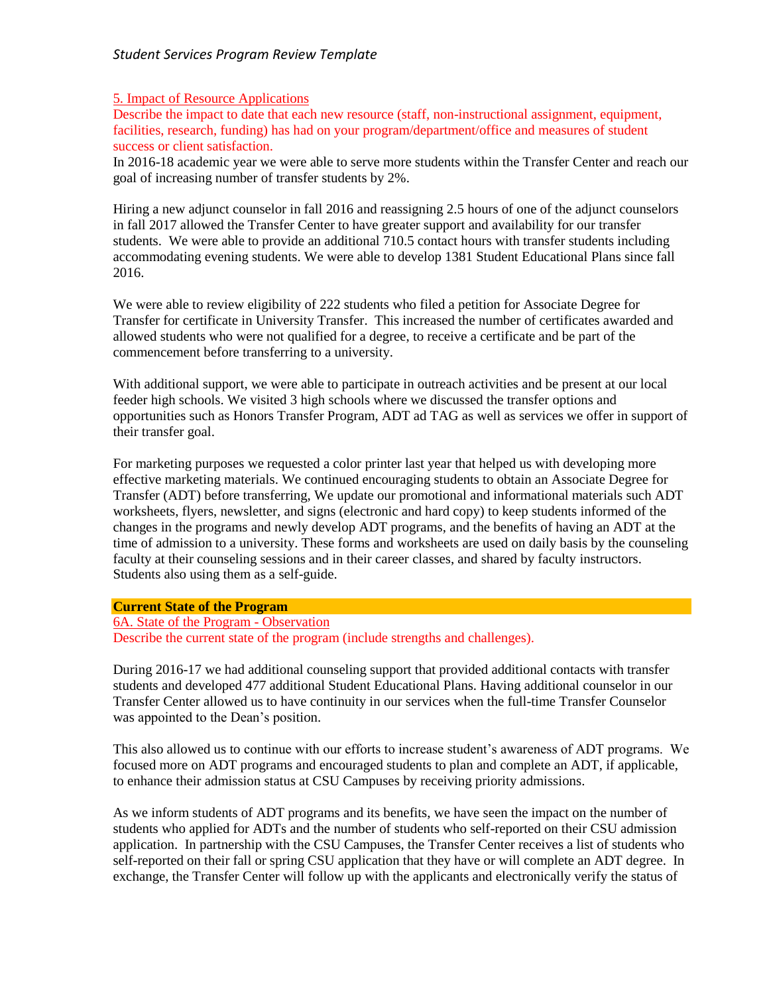#### 5. Impact of Resource Applications

Describe the impact to date that each new resource (staff, non-instructional assignment, equipment, facilities, research, funding) has had on your program/department/office and measures of student success or client satisfaction.

In 2016-18 academic year we were able to serve more students within the Transfer Center and reach our goal of increasing number of transfer students by 2%.

Hiring a new adjunct counselor in fall 2016 and reassigning 2.5 hours of one of the adjunct counselors in fall 2017 allowed the Transfer Center to have greater support and availability for our transfer students. We were able to provide an additional 710.5 contact hours with transfer students including accommodating evening students. We were able to develop 1381 Student Educational Plans since fall 2016.

We were able to review eligibility of 222 students who filed a petition for Associate Degree for Transfer for certificate in University Transfer. This increased the number of certificates awarded and allowed students who were not qualified for a degree, to receive a certificate and be part of the commencement before transferring to a university.

With additional support, we were able to participate in outreach activities and be present at our local feeder high schools. We visited 3 high schools where we discussed the transfer options and opportunities such as Honors Transfer Program, ADT ad TAG as well as services we offer in support of their transfer goal.

For marketing purposes we requested a color printer last year that helped us with developing more effective marketing materials. We continued encouraging students to obtain an Associate Degree for Transfer (ADT) before transferring, We update our promotional and informational materials such ADT worksheets, flyers, newsletter, and signs (electronic and hard copy) to keep students informed of the changes in the programs and newly develop ADT programs, and the benefits of having an ADT at the time of admission to a university. These forms and worksheets are used on daily basis by the counseling faculty at their counseling sessions and in their career classes, and shared by faculty instructors. Students also using them as a self-guide.

#### **Current State of the Program**

6A. State of the Program - Observation Describe the current state of the program (include strengths and challenges).

During 2016-17 we had additional counseling support that provided additional contacts with transfer students and developed 477 additional Student Educational Plans. Having additional counselor in our Transfer Center allowed us to have continuity in our services when the full-time Transfer Counselor was appointed to the Dean's position.

This also allowed us to continue with our efforts to increase student's awareness of ADT programs. We focused more on ADT programs and encouraged students to plan and complete an ADT, if applicable, to enhance their admission status at CSU Campuses by receiving priority admissions.

As we inform students of ADT programs and its benefits, we have seen the impact on the number of students who applied for ADTs and the number of students who self-reported on their CSU admission application. In partnership with the CSU Campuses, the Transfer Center receives a list of students who self-reported on their fall or spring CSU application that they have or will complete an ADT degree. In exchange, the Transfer Center will follow up with the applicants and electronically verify the status of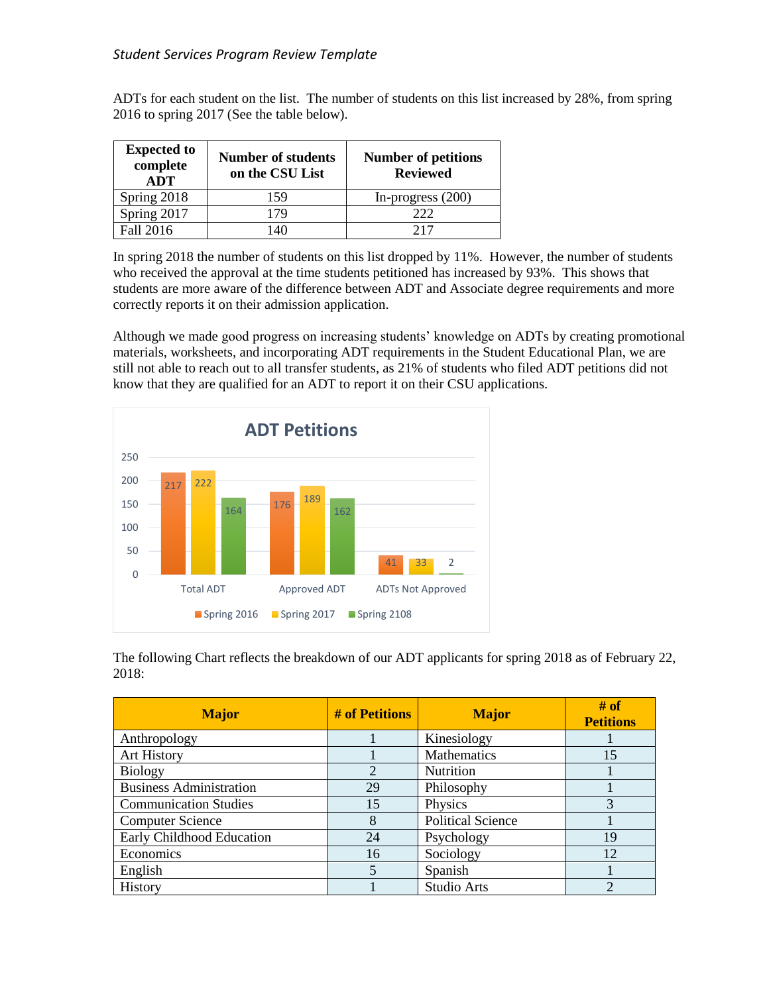ADTs for each student on the list. The number of students on this list increased by 28%, from spring 2016 to spring 2017 (See the table below).

| <b>Expected to</b><br>complete<br><b>ADT</b> | <b>Number of students</b><br>on the CSU List | <b>Number of petitions</b><br><b>Reviewed</b> |
|----------------------------------------------|----------------------------------------------|-----------------------------------------------|
| Spring 2018                                  | 159                                          | In-progress $(200)$                           |
| Spring 2017                                  | 79                                           | 222                                           |
| Fall 2016                                    | 40                                           | 217                                           |

In spring 2018 the number of students on this list dropped by 11%. However, the number of students who received the approval at the time students petitioned has increased by 93%. This shows that students are more aware of the difference between ADT and Associate degree requirements and more correctly reports it on their admission application.

Although we made good progress on increasing students' knowledge on ADTs by creating promotional materials, worksheets, and incorporating ADT requirements in the Student Educational Plan, we are still not able to reach out to all transfer students, as 21% of students who filed ADT petitions did not know that they are qualified for an ADT to report it on their CSU applications.



The following Chart reflects the breakdown of our ADT applicants for spring 2018 as of February 22, 2018:

| <b>Major</b>                   | # of Petitions | <b>Major</b>             | # of<br><b>Petitions</b> |
|--------------------------------|----------------|--------------------------|--------------------------|
| Anthropology                   |                | Kinesiology              |                          |
| Art History                    |                | Mathematics              | 15                       |
| <b>Biology</b>                 | 2              | Nutrition                |                          |
| <b>Business Administration</b> | 29             | Philosophy               |                          |
| <b>Communication Studies</b>   | 15             | Physics                  | 3                        |
| <b>Computer Science</b>        | 8              | <b>Political Science</b> |                          |
| Early Childhood Education      | 24             | Psychology               | 19                       |
| Economics                      | 16             | Sociology                | 12                       |
| English                        | 5              | Spanish                  |                          |
| History                        |                | Studio Arts              | っ                        |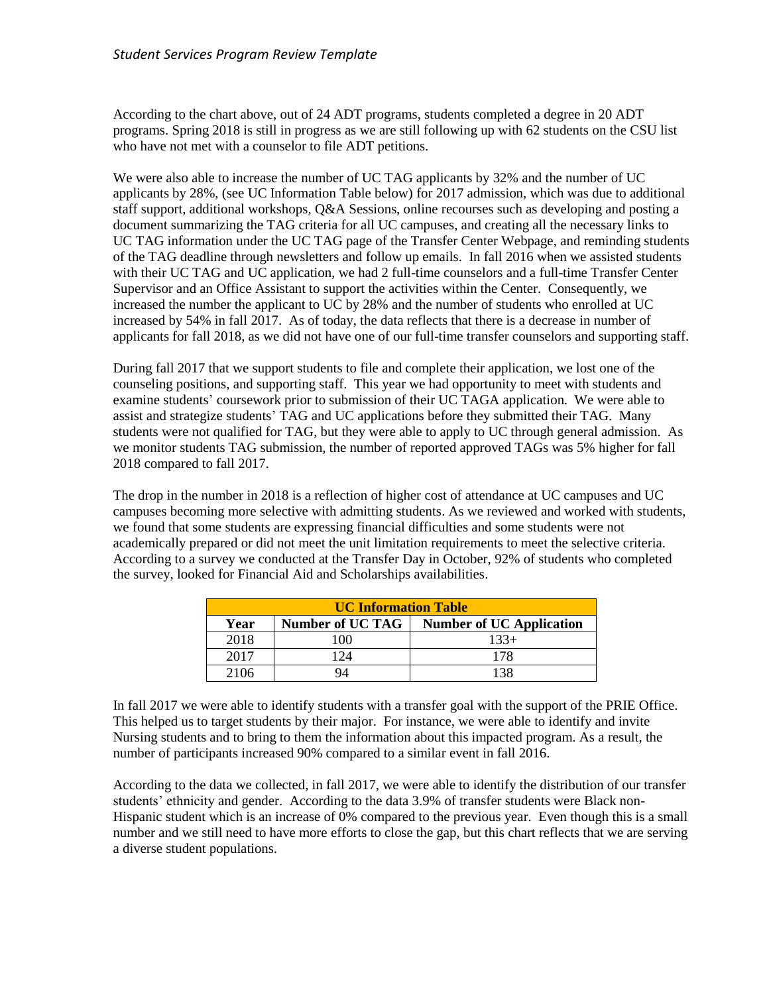According to the chart above, out of 24 ADT programs, students completed a degree in 20 ADT programs. Spring 2018 is still in progress as we are still following up with 62 students on the CSU list who have not met with a counselor to file ADT petitions.

We were also able to increase the number of UC TAG applicants by 32% and the number of UC applicants by 28%, (see UC Information Table below) for 2017 admission, which was due to additional staff support, additional workshops, Q&A Sessions, online recourses such as developing and posting a document summarizing the TAG criteria for all UC campuses, and creating all the necessary links to UC TAG information under the UC TAG page of the Transfer Center Webpage, and reminding students of the TAG deadline through newsletters and follow up emails. In fall 2016 when we assisted students with their UC TAG and UC application, we had 2 full-time counselors and a full-time Transfer Center Supervisor and an Office Assistant to support the activities within the Center. Consequently, we increased the number the applicant to UC by 28% and the number of students who enrolled at UC increased by 54% in fall 2017. As of today, the data reflects that there is a decrease in number of applicants for fall 2018, as we did not have one of our full-time transfer counselors and supporting staff.

During fall 2017 that we support students to file and complete their application, we lost one of the counseling positions, and supporting staff. This year we had opportunity to meet with students and examine students' coursework prior to submission of their UC TAGA application. We were able to assist and strategize students' TAG and UC applications before they submitted their TAG. Many students were not qualified for TAG, but they were able to apply to UC through general admission. As we monitor students TAG submission, the number of reported approved TAGs was 5% higher for fall 2018 compared to fall 2017.

The drop in the number in 2018 is a reflection of higher cost of attendance at UC campuses and UC campuses becoming more selective with admitting students. As we reviewed and worked with students, we found that some students are expressing financial difficulties and some students were not academically prepared or did not meet the unit limitation requirements to meet the selective criteria. According to a survey we conducted at the Transfer Day in October, 92% of students who completed the survey, looked for Financial Aid and Scholarships availabilities.

| <b>UC Information Table</b> |                         |                                 |  |  |
|-----------------------------|-------------------------|---------------------------------|--|--|
| Year                        | <b>Number of UC TAG</b> | <b>Number of UC Application</b> |  |  |
| 2018                        | 100                     | $133+$                          |  |  |
| 2017                        | 124                     | 178                             |  |  |
| 2106                        | JΔ                      | l 3.                            |  |  |

In fall 2017 we were able to identify students with a transfer goal with the support of the PRIE Office. This helped us to target students by their major. For instance, we were able to identify and invite Nursing students and to bring to them the information about this impacted program. As a result, the number of participants increased 90% compared to a similar event in fall 2016.

According to the data we collected, in fall 2017, we were able to identify the distribution of our transfer students' ethnicity and gender. According to the data 3.9% of transfer students were Black non-Hispanic student which is an increase of 0% compared to the previous year. Even though this is a small number and we still need to have more efforts to close the gap, but this chart reflects that we are serving a diverse student populations.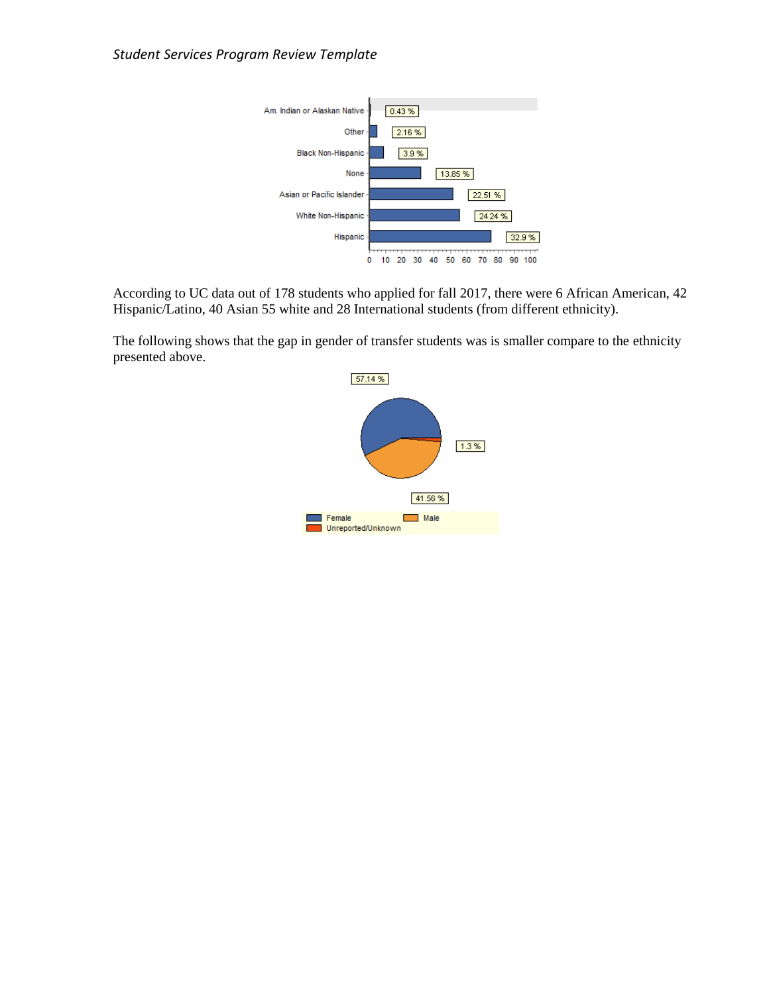

According to UC data out of 178 students who applied for fall 2017, there were 6 African American, 42 Hispanic/Latino, 40 Asian 55 white and 28 International students (from different ethnicity).

The following shows that the gap in gender of transfer students was is smaller compare to the ethnicity presented above.

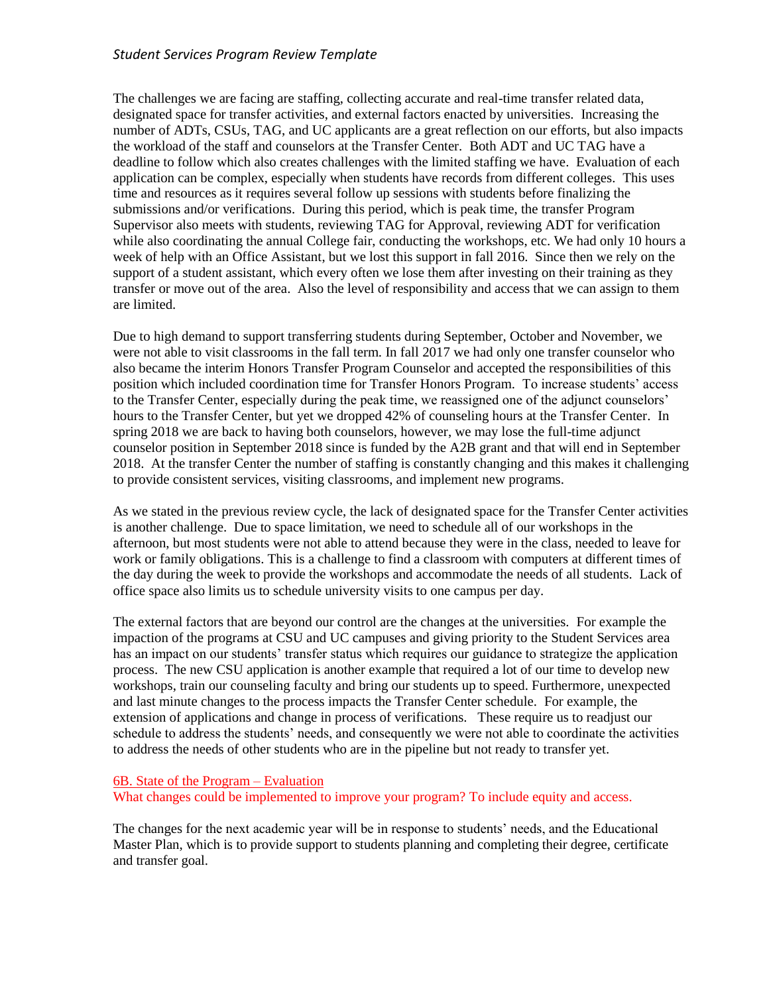The challenges we are facing are staffing, collecting accurate and real-time transfer related data, designated space for transfer activities, and external factors enacted by universities. Increasing the number of ADTs, CSUs, TAG, and UC applicants are a great reflection on our efforts, but also impacts the workload of the staff and counselors at the Transfer Center. Both ADT and UC TAG have a deadline to follow which also creates challenges with the limited staffing we have. Evaluation of each application can be complex, especially when students have records from different colleges. This uses time and resources as it requires several follow up sessions with students before finalizing the submissions and/or verifications. During this period, which is peak time, the transfer Program Supervisor also meets with students, reviewing TAG for Approval, reviewing ADT for verification while also coordinating the annual College fair, conducting the workshops, etc. We had only 10 hours a week of help with an Office Assistant, but we lost this support in fall 2016. Since then we rely on the support of a student assistant, which every often we lose them after investing on their training as they transfer or move out of the area. Also the level of responsibility and access that we can assign to them are limited.

Due to high demand to support transferring students during September, October and November, we were not able to visit classrooms in the fall term. In fall 2017 we had only one transfer counselor who also became the interim Honors Transfer Program Counselor and accepted the responsibilities of this position which included coordination time for Transfer Honors Program. To increase students' access to the Transfer Center, especially during the peak time, we reassigned one of the adjunct counselors' hours to the Transfer Center, but yet we dropped 42% of counseling hours at the Transfer Center. In spring 2018 we are back to having both counselors, however, we may lose the full-time adjunct counselor position in September 2018 since is funded by the A2B grant and that will end in September 2018. At the transfer Center the number of staffing is constantly changing and this makes it challenging to provide consistent services, visiting classrooms, and implement new programs.

As we stated in the previous review cycle, the lack of designated space for the Transfer Center activities is another challenge. Due to space limitation, we need to schedule all of our workshops in the afternoon, but most students were not able to attend because they were in the class, needed to leave for work or family obligations. This is a challenge to find a classroom with computers at different times of the day during the week to provide the workshops and accommodate the needs of all students. Lack of office space also limits us to schedule university visits to one campus per day.

The external factors that are beyond our control are the changes at the universities. For example the impaction of the programs at CSU and UC campuses and giving priority to the Student Services area has an impact on our students' transfer status which requires our guidance to strategize the application process. The new CSU application is another example that required a lot of our time to develop new workshops, train our counseling faculty and bring our students up to speed. Furthermore, unexpected and last minute changes to the process impacts the Transfer Center schedule. For example, the extension of applications and change in process of verifications. These require us to readjust our schedule to address the students' needs, and consequently we were not able to coordinate the activities to address the needs of other students who are in the pipeline but not ready to transfer yet.

#### 6B. State of the Program – Evaluation

What changes could be implemented to improve your program? To include equity and access.

The changes for the next academic year will be in response to students' needs, and the Educational Master Plan, which is to provide support to students planning and completing their degree, certificate and transfer goal.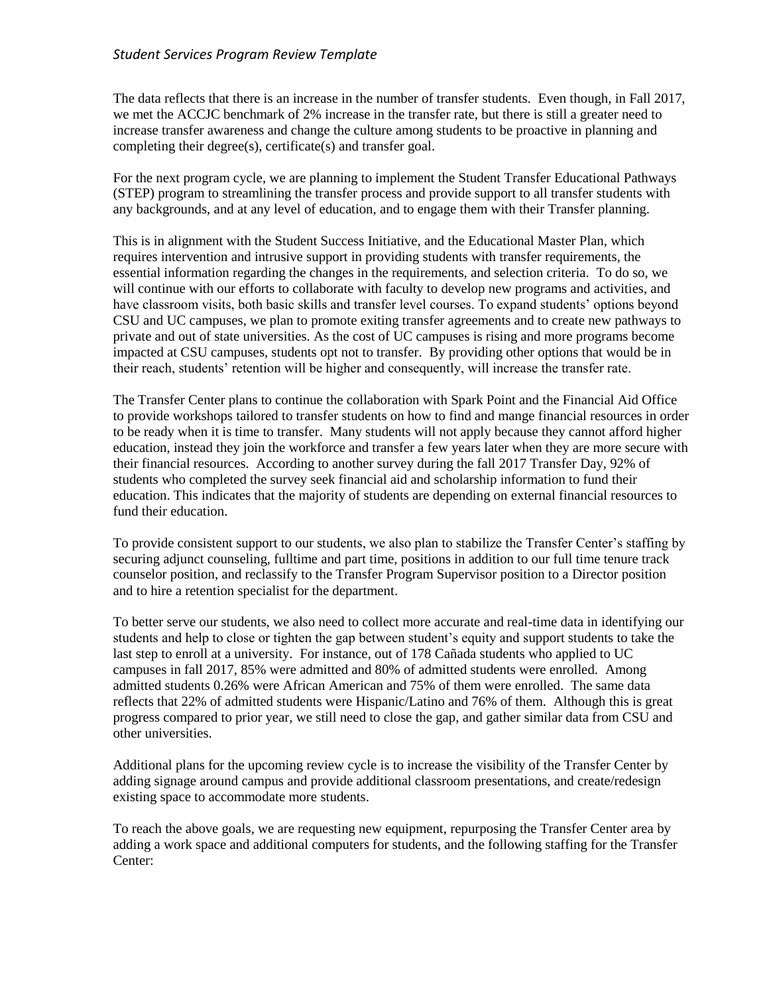The data reflects that there is an increase in the number of transfer students. Even though, in Fall 2017, we met the ACCJC benchmark of 2% increase in the transfer rate, but there is still a greater need to increase transfer awareness and change the culture among students to be proactive in planning and completing their degree(s), certificate(s) and transfer goal.

For the next program cycle, we are planning to implement the Student Transfer Educational Pathways (STEP) program to streamlining the transfer process and provide support to all transfer students with any backgrounds, and at any level of education, and to engage them with their Transfer planning.

This is in alignment with the Student Success Initiative, and the Educational Master Plan, which requires intervention and intrusive support in providing students with transfer requirements, the essential information regarding the changes in the requirements, and selection criteria. To do so, we will continue with our efforts to collaborate with faculty to develop new programs and activities, and have classroom visits, both basic skills and transfer level courses. To expand students' options beyond CSU and UC campuses, we plan to promote exiting transfer agreements and to create new pathways to private and out of state universities. As the cost of UC campuses is rising and more programs become impacted at CSU campuses, students opt not to transfer. By providing other options that would be in their reach, students' retention will be higher and consequently, will increase the transfer rate.

The Transfer Center plans to continue the collaboration with Spark Point and the Financial Aid Office to provide workshops tailored to transfer students on how to find and mange financial resources in order to be ready when it is time to transfer. Many students will not apply because they cannot afford higher education, instead they join the workforce and transfer a few years later when they are more secure with their financial resources. According to another survey during the fall 2017 Transfer Day, 92% of students who completed the survey seek financial aid and scholarship information to fund their education. This indicates that the majority of students are depending on external financial resources to fund their education.

To provide consistent support to our students, we also plan to stabilize the Transfer Center's staffing by securing adjunct counseling, fulltime and part time, positions in addition to our full time tenure track counselor position, and reclassify to the Transfer Program Supervisor position to a Director position and to hire a retention specialist for the department.

To better serve our students, we also need to collect more accurate and real-time data in identifying our students and help to close or tighten the gap between student's equity and support students to take the last step to enroll at a university. For instance, out of 178 Cañada students who applied to UC campuses in fall 2017, 85% were admitted and 80% of admitted students were enrolled. Among admitted students 0.26% were African American and 75% of them were enrolled. The same data reflects that 22% of admitted students were Hispanic/Latino and 76% of them. Although this is great progress compared to prior year, we still need to close the gap, and gather similar data from CSU and other universities.

Additional plans for the upcoming review cycle is to increase the visibility of the Transfer Center by adding signage around campus and provide additional classroom presentations, and create/redesign existing space to accommodate more students.

To reach the above goals, we are requesting new equipment, repurposing the Transfer Center area by adding a work space and additional computers for students, and the following staffing for the Transfer Center: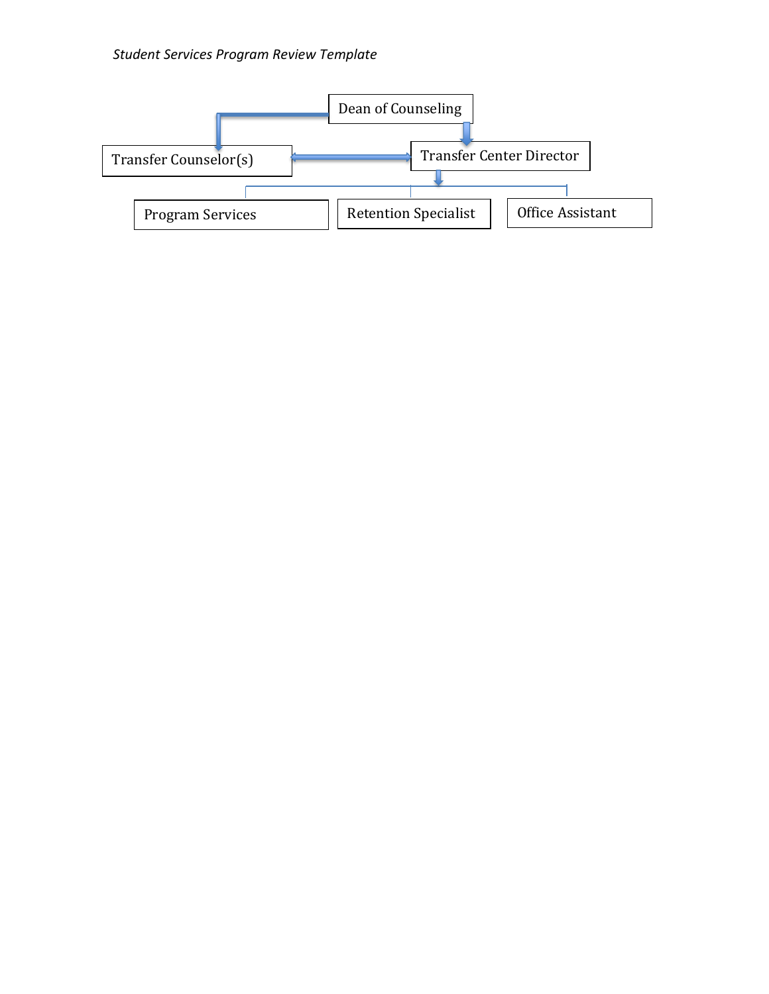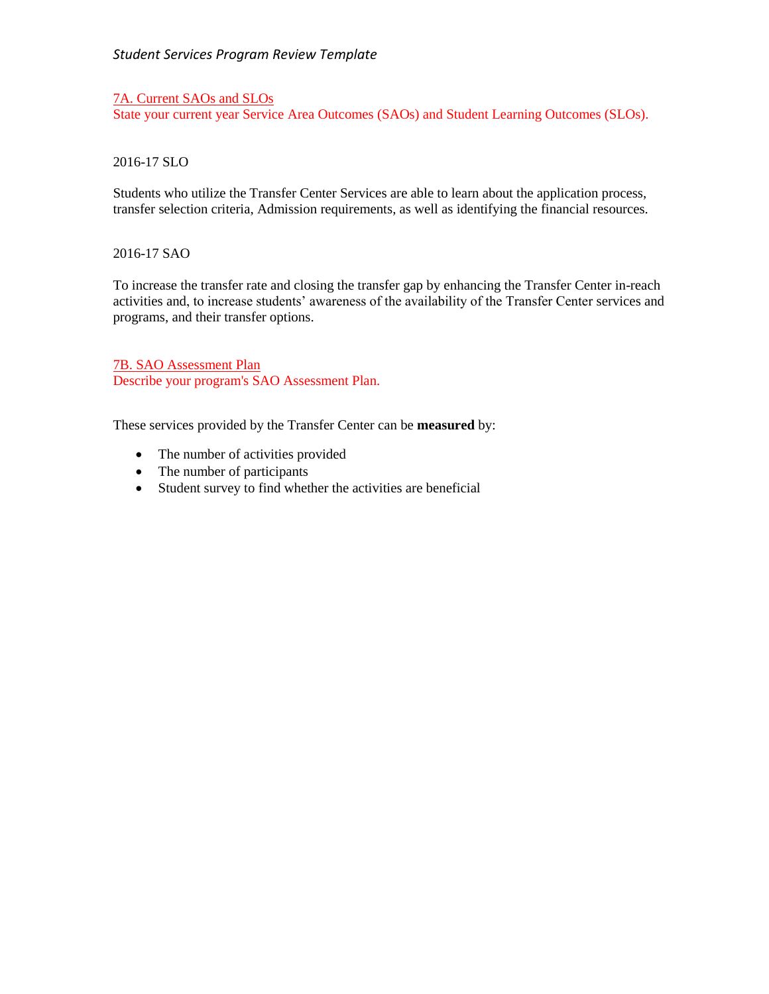7A. Current SAOs and SLOs State your current year Service Area Outcomes (SAOs) and Student Learning Outcomes (SLOs).

## 2016-17 SLO

Students who utilize the Transfer Center Services are able to learn about the application process, transfer selection criteria, Admission requirements, as well as identifying the financial resources.

### 2016-17 SAO

To increase the transfer rate and closing the transfer gap by enhancing the Transfer Center in-reach activities and, to increase students' awareness of the availability of the Transfer Center services and programs, and their transfer options.

7B. SAO Assessment Plan Describe your program's SAO Assessment Plan.

These services provided by the Transfer Center can be **measured** by:

- The number of activities provided
- The number of participants
- Student survey to find whether the activities are beneficial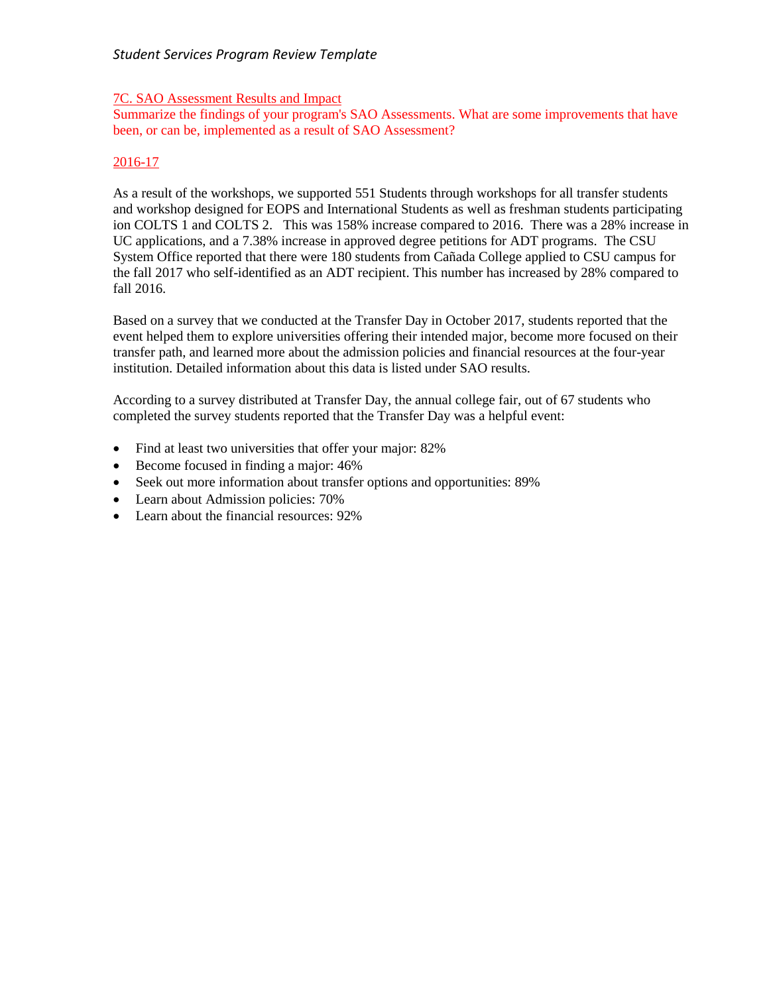### 7C. SAO Assessment Results and Impact

Summarize the findings of your program's SAO Assessments. What are some improvements that have been, or can be, implemented as a result of SAO Assessment?

# 2016-17

As a result of the workshops, we supported 551 Students through workshops for all transfer students and workshop designed for EOPS and International Students as well as freshman students participating ion COLTS 1 and COLTS 2. This was 158% increase compared to 2016. There was a 28% increase in UC applications, and a 7.38% increase in approved degree petitions for ADT programs. The CSU System Office reported that there were 180 students from Cañada College applied to CSU campus for the fall 2017 who self-identified as an ADT recipient. This number has increased by 28% compared to fall 2016.

Based on a survey that we conducted at the Transfer Day in October 2017, students reported that the event helped them to explore universities offering their intended major, become more focused on their transfer path, and learned more about the admission policies and financial resources at the four-year institution. Detailed information about this data is listed under SAO results.

According to a survey distributed at Transfer Day, the annual college fair, out of 67 students who completed the survey students reported that the Transfer Day was a helpful event:

- Find at least two universities that offer your major: 82%
- Become focused in finding a major: 46%
- Seek out more information about transfer options and opportunities: 89%
- Learn about Admission policies: 70%
- Learn about the financial resources: 92%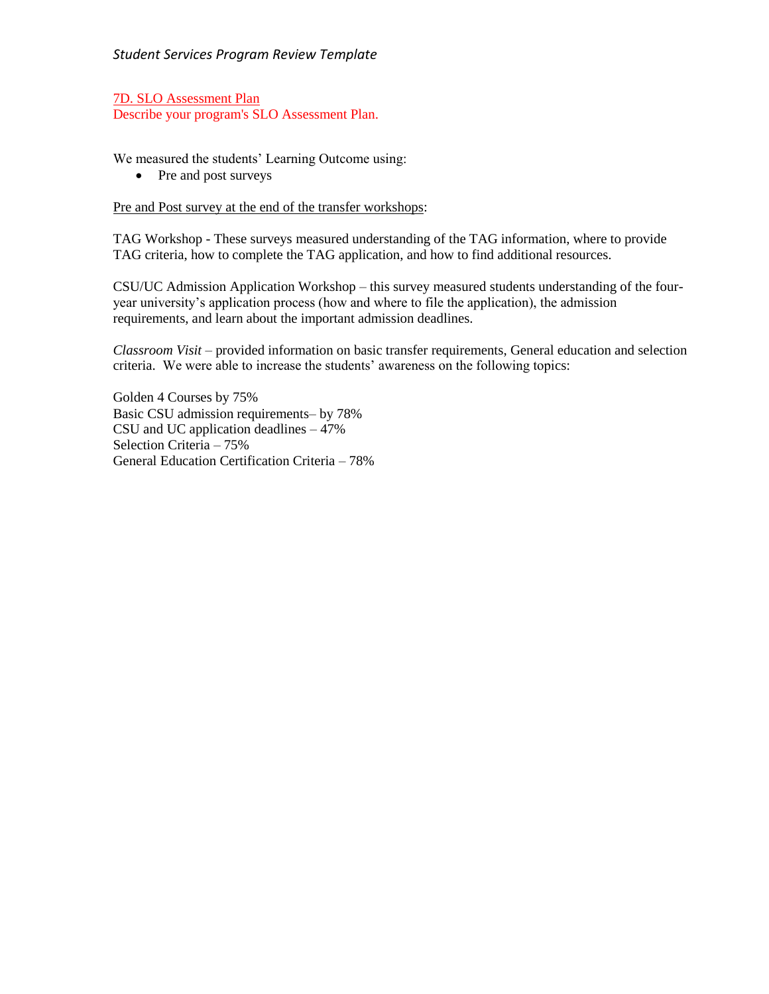7D. SLO Assessment Plan Describe your program's SLO Assessment Plan.

We measured the students' Learning Outcome using:

• Pre and post surveys

# Pre and Post survey at the end of the transfer workshops:

TAG Workshop - These surveys measured understanding of the TAG information, where to provide TAG criteria, how to complete the TAG application, and how to find additional resources.

CSU/UC Admission Application Workshop – this survey measured students understanding of the fouryear university's application process (how and where to file the application), the admission requirements, and learn about the important admission deadlines.

*Classroom Visit* – provided information on basic transfer requirements, General education and selection criteria. We were able to increase the students' awareness on the following topics:

Golden 4 Courses by 75% Basic CSU admission requirements– by 78% CSU and UC application deadlines – 47% Selection Criteria – 75% General Education Certification Criteria – 78%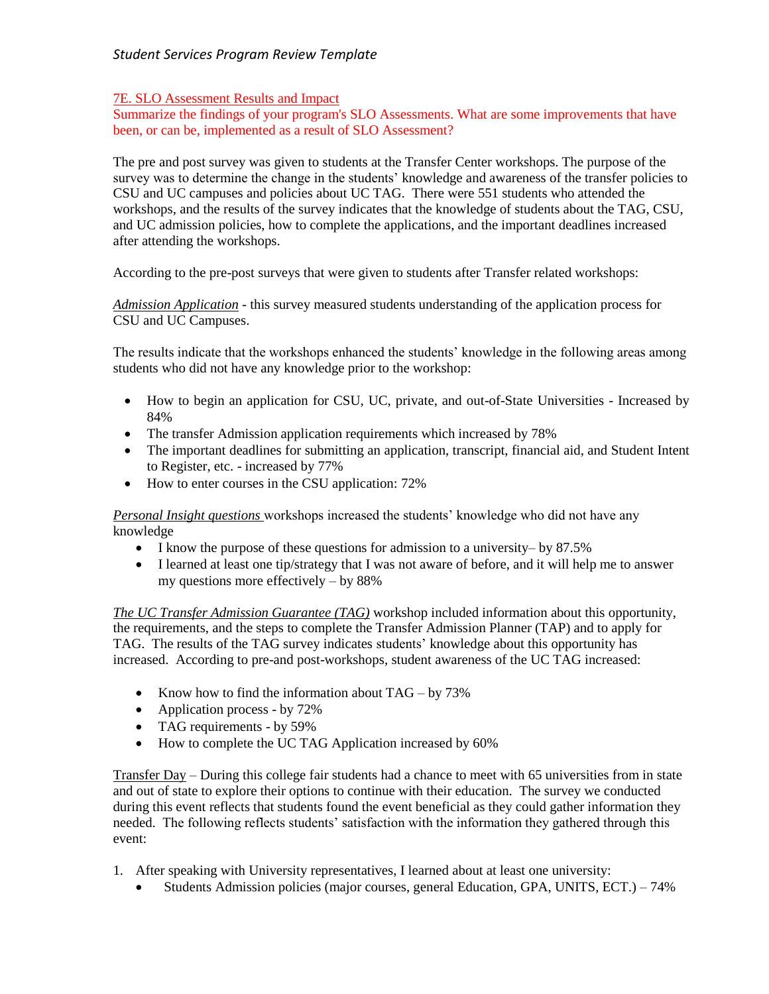# 7E. SLO Assessment Results and Impact

Summarize the findings of your program's SLO Assessments. What are some improvements that have been, or can be, implemented as a result of SLO Assessment?

The pre and post survey was given to students at the Transfer Center workshops. The purpose of the survey was to determine the change in the students' knowledge and awareness of the transfer policies to CSU and UC campuses and policies about UC TAG. There were 551 students who attended the workshops, and the results of the survey indicates that the knowledge of students about the TAG, CSU, and UC admission policies, how to complete the applications, and the important deadlines increased after attending the workshops.

According to the pre-post surveys that were given to students after Transfer related workshops:

*Admission Application -* this survey measured students understanding of the application process for CSU and UC Campuses.

The results indicate that the workshops enhanced the students' knowledge in the following areas among students who did not have any knowledge prior to the workshop:

- How to begin an application for CSU, UC, private, and out-of-State Universities Increased by 84%
- The transfer Admission application requirements which increased by 78%
- The important deadlines for submitting an application, transcript, financial aid, and Student Intent to Register, etc. - increased by 77%
- How to enter courses in the CSU application:  $72\%$

*Personal Insight questions* workshops increased the students' knowledge who did not have any knowledge

- I know the purpose of these questions for admission to a university– by 87.5%
- I learned at least one tip/strategy that I was not aware of before, and it will help me to answer my questions more effectively – by 88%

*The UC Transfer Admission Guarantee (TAG)* workshop included information about this opportunity, the requirements, and the steps to complete the Transfer Admission Planner (TAP) and to apply for TAG. The results of the TAG survey indicates students' knowledge about this opportunity has increased. According to pre-and post-workshops, student awareness of the UC TAG increased:

- Know how to find the information about  $TAG by 73%$
- Application process by 72%
- TAG requirements by 59%
- How to complete the UC TAG Application increased by 60%

Transfer Day – During this college fair students had a chance to meet with 65 universities from in state and out of state to explore their options to continue with their education. The survey we conducted during this event reflects that students found the event beneficial as they could gather information they needed. The following reflects students' satisfaction with the information they gathered through this event:

- 1. After speaking with University representatives, I learned about at least one university:
	- Students Admission policies (major courses, general Education, GPA, UNITS, ECT.) 74%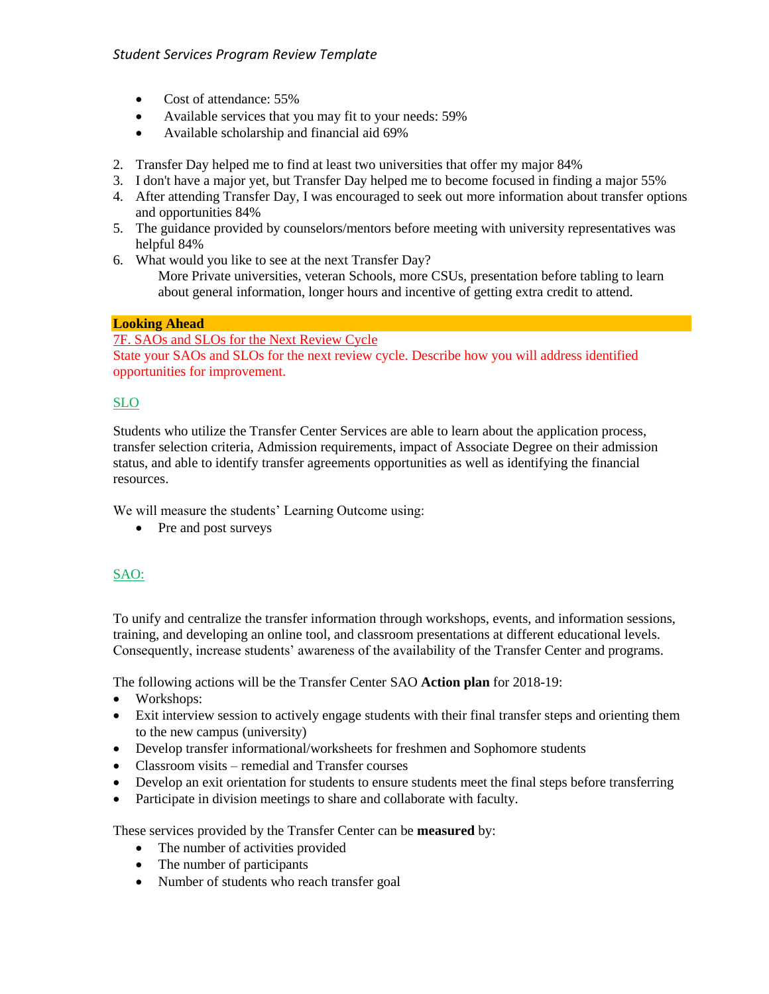- Cost of attendance: 55%
- Available services that you may fit to your needs: 59%
- Available scholarship and financial aid 69%
- 2. Transfer Day helped me to find at least two universities that offer my major 84%
- 3. I don't have a major yet, but Transfer Day helped me to become focused in finding a major 55%
- 4. After attending Transfer Day, I was encouraged to seek out more information about transfer options and opportunities 84%
- 5. The guidance provided by counselors/mentors before meeting with university representatives was helpful 84%
- 6. What would you like to see at the next Transfer Day?

More Private universities, veteran Schools, more CSUs, presentation before tabling to learn about general information, longer hours and incentive of getting extra credit to attend.

### **Looking Ahead**

7F. SAOs and SLOs for the Next Review Cycle State your SAOs and SLOs for the next review cycle. Describe how you will address identified opportunities for improvement.

## SLO

Students who utilize the Transfer Center Services are able to learn about the application process, transfer selection criteria, Admission requirements, impact of Associate Degree on their admission status, and able to identify transfer agreements opportunities as well as identifying the financial resources.

We will measure the students' Learning Outcome using:

• Pre and post surveys

# SAO:

To unify and centralize the transfer information through workshops, events, and information sessions, training, and developing an online tool, and classroom presentations at different educational levels. Consequently, increase students' awareness of the availability of the Transfer Center and programs.

The following actions will be the Transfer Center SAO **Action plan** for 2018-19:

- Workshops:
- Exit interview session to actively engage students with their final transfer steps and orienting them to the new campus (university)
- Develop transfer informational/worksheets for freshmen and Sophomore students
- Classroom visits remedial and Transfer courses
- Develop an exit orientation for students to ensure students meet the final steps before transferring
- Participate in division meetings to share and collaborate with faculty.

These services provided by the Transfer Center can be **measured** by:

- The number of activities provided
- The number of participants
- Number of students who reach transfer goal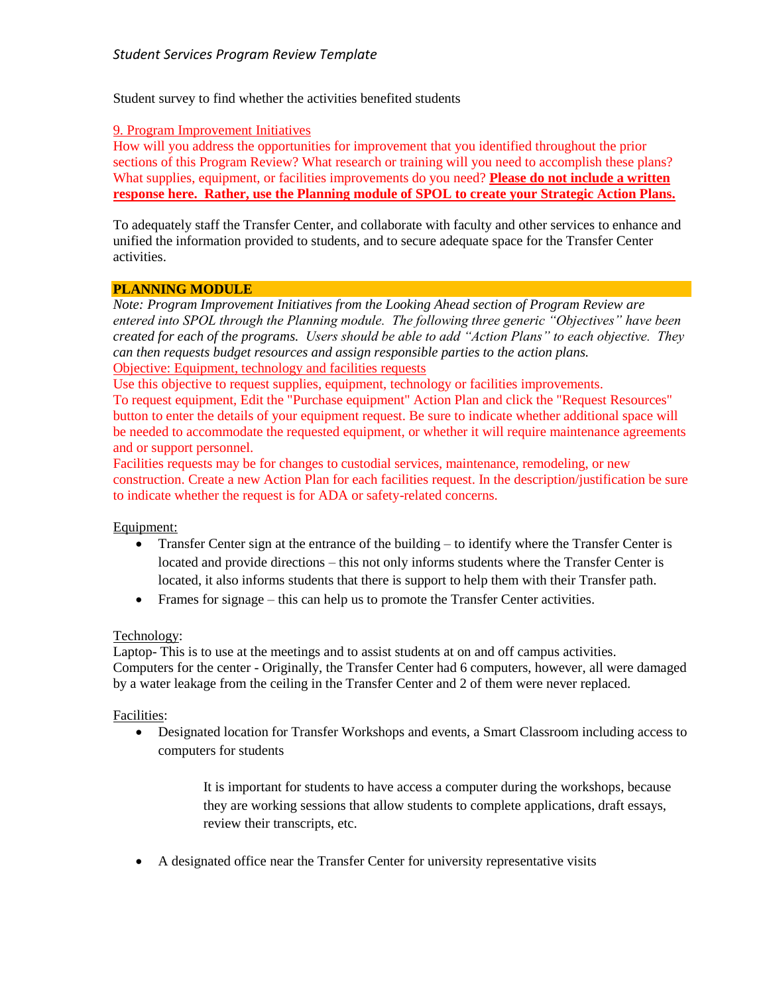Student survey to find whether the activities benefited students

### 9. Program Improvement Initiatives

How will you address the opportunities for improvement that you identified throughout the prior sections of this Program Review? What research or training will you need to accomplish these plans? What supplies, equipment, or facilities improvements do you need? **Please do not include a written response here. Rather, use the Planning module of SPOL to create your Strategic Action Plans.**

To adequately staff the Transfer Center, and collaborate with faculty and other services to enhance and unified the information provided to students, and to secure adequate space for the Transfer Center activities.

#### **PLANNING MODULE**

*Note: Program Improvement Initiatives from the Looking Ahead section of Program Review are entered into SPOL through the Planning module. The following three generic "Objectives" have been created for each of the programs. Users should be able to add "Action Plans" to each objective. They can then requests budget resources and assign responsible parties to the action plans.* Objective: Equipment, technology and facilities requests

Use this objective to request supplies, equipment, technology or facilities improvements.

To request equipment, Edit the "Purchase equipment" Action Plan and click the "Request Resources" button to enter the details of your equipment request. Be sure to indicate whether additional space will be needed to accommodate the requested equipment, or whether it will require maintenance agreements and or support personnel.

Facilities requests may be for changes to custodial services, maintenance, remodeling, or new construction. Create a new Action Plan for each facilities request. In the description/justification be sure to indicate whether the request is for ADA or safety-related concerns.

### Equipment:

- Transfer Center sign at the entrance of the building to identify where the Transfer Center is located and provide directions – this not only informs students where the Transfer Center is located, it also informs students that there is support to help them with their Transfer path.
- Frames for signage this can help us to promote the Transfer Center activities.

### Technology:

Laptop- This is to use at the meetings and to assist students at on and off campus activities. Computers for the center - Originally, the Transfer Center had 6 computers, however, all were damaged by a water leakage from the ceiling in the Transfer Center and 2 of them were never replaced.

### Facilities:

 Designated location for Transfer Workshops and events, a Smart Classroom including access to computers for students

> It is important for students to have access a computer during the workshops, because they are working sessions that allow students to complete applications, draft essays, review their transcripts, etc.

A designated office near the Transfer Center for university representative visits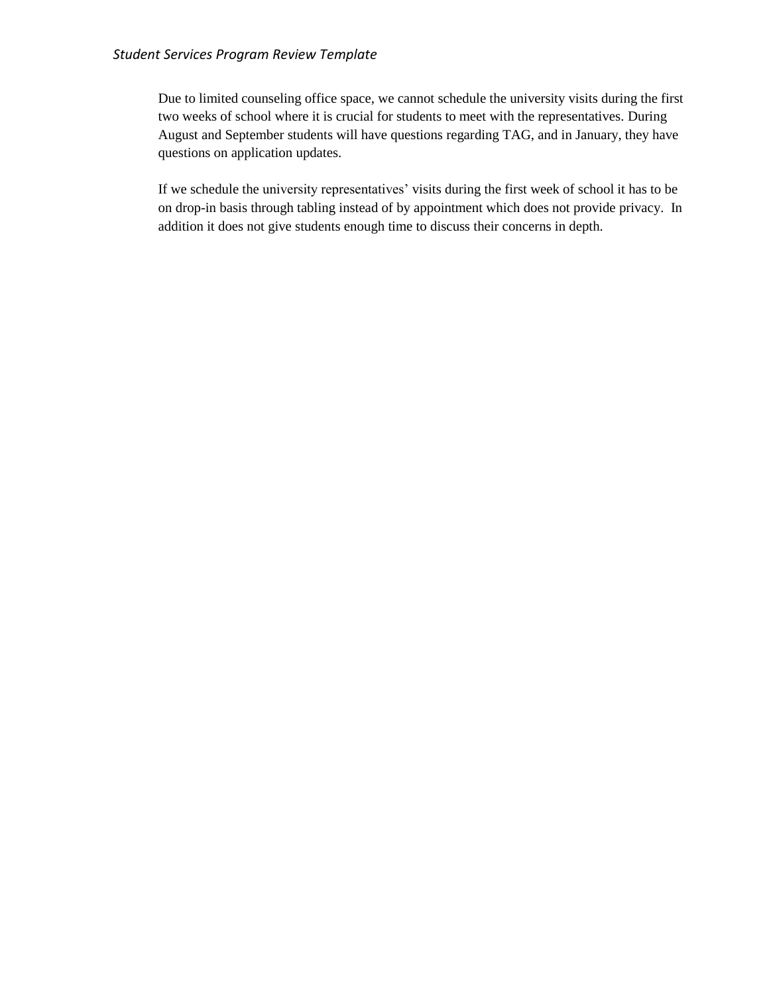Due to limited counseling office space, we cannot schedule the university visits during the first two weeks of school where it is crucial for students to meet with the representatives. During August and September students will have questions regarding TAG, and in January, they have questions on application updates.

If we schedule the university representatives' visits during the first week of school it has to be on drop-in basis through tabling instead of by appointment which does not provide privacy. In addition it does not give students enough time to discuss their concerns in depth.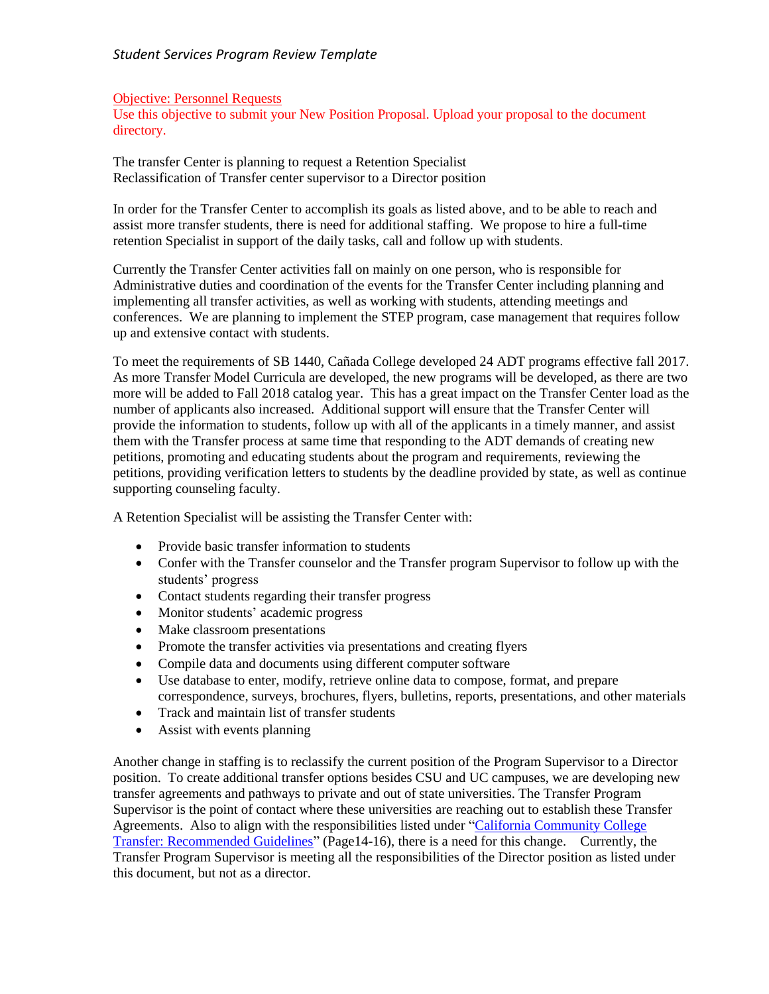#### Objective: Personnel Requests

Use this objective to submit your New Position Proposal. Upload your proposal to the document directory.

The transfer Center is planning to request a Retention Specialist Reclassification of Transfer center supervisor to a Director position

In order for the Transfer Center to accomplish its goals as listed above, and to be able to reach and assist more transfer students, there is need for additional staffing. We propose to hire a full-time retention Specialist in support of the daily tasks, call and follow up with students.

Currently the Transfer Center activities fall on mainly on one person, who is responsible for Administrative duties and coordination of the events for the Transfer Center including planning and implementing all transfer activities, as well as working with students, attending meetings and conferences. We are planning to implement the STEP program, case management that requires follow up and extensive contact with students.

To meet the requirements of SB 1440, Cañada College developed 24 ADT programs effective fall 2017. As more Transfer Model Curricula are developed, the new programs will be developed, as there are two more will be added to Fall 2018 catalog year. This has a great impact on the Transfer Center load as the number of applicants also increased. Additional support will ensure that the Transfer Center will provide the information to students, follow up with all of the applicants in a timely manner, and assist them with the Transfer process at same time that responding to the ADT demands of creating new petitions, promoting and educating students about the program and requirements, reviewing the petitions, providing verification letters to students by the deadline provided by state, as well as continue supporting counseling faculty.

A Retention Specialist will be assisting the Transfer Center with:

- Provide basic transfer information to students
- Confer with the Transfer counselor and the Transfer program Supervisor to follow up with the students' progress
- Contact students regarding their transfer progress
- Monitor students' academic progress
- Make classroom presentations
- Promote the transfer activities via presentations and creating flyers
- Compile data and documents using different computer software
- Use database to enter, modify, retrieve online data to compose, format, and prepare correspondence, surveys, brochures, flyers, bulletins, reports, presentations, and other materials
- Track and maintain list of transfer students
- Assist with events planning

Another change in staffing is to reclassify the current position of the Program Supervisor to a Director position. To create additional transfer options besides CSU and UC campuses, we are developing new transfer agreements and pathways to private and out of state universities. The Transfer Program Supervisor is the point of contact where these universities are reaching out to establish these Transfer Agreements. Also to align with the responsibilities listed under ["California Community College](http://extranet.cccco.edu/Portals/1/SSSP/Transfer/Policy/rec_trans_guidelines_final_2014.pdf)  [Transfer: Recommended Guidelines"](http://extranet.cccco.edu/Portals/1/SSSP/Transfer/Policy/rec_trans_guidelines_final_2014.pdf) (Page14-16), there is a need for this change. Currently, the Transfer Program Supervisor is meeting all the responsibilities of the Director position as listed under this document, but not as a director.